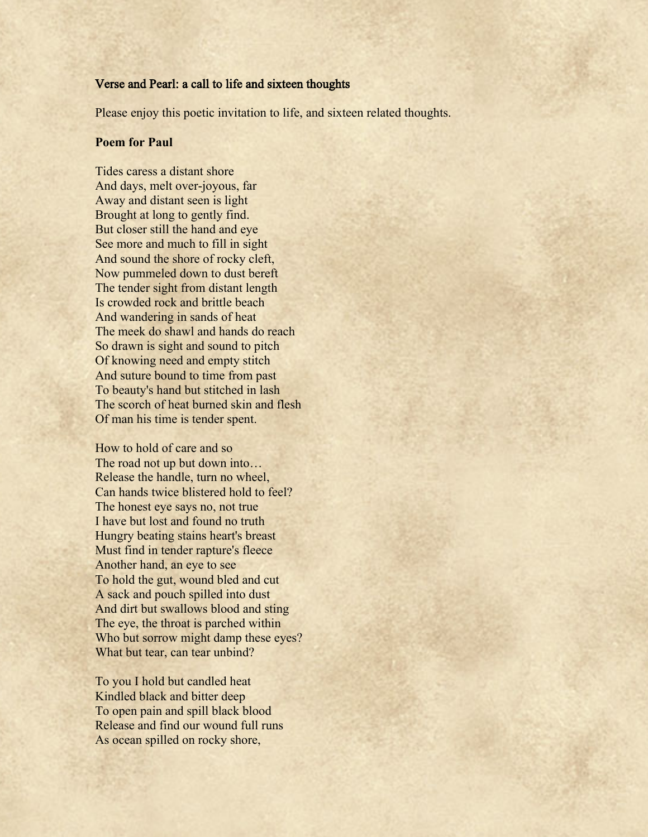## Verse and Pearl: a call to life and sixteen thoughts

Please enjoy this poetic invitation to life, and sixteen related thoughts.

## **Poem for Paul**

Tides caress a distant shore And days, melt over-joyous, far Away and distant seen is light Brought at long to gently find. But closer still the hand and eye See more and much to fill in sight And sound the shore of rocky cleft, Now pummeled down to dust bereft The tender sight from distant length Is crowded rock and brittle beach And wandering in sands of heat The meek do shawl and hands do reach So drawn is sight and sound to pitch Of knowing need and empty stitch And suture bound to time from past To beauty's hand but stitched in lash The scorch of heat burned skin and flesh Of man his time is tender spent.

How to hold of care and so The road not up but down into… Release the handle, turn no wheel, Can hands twice blistered hold to feel? The honest eye says no, not true I have but lost and found no truth Hungry beating stains heart's breast Must find in tender rapture's fleece Another hand, an eye to see To hold the gut, wound bled and cut A sack and pouch spilled into dust And dirt but swallows blood and sting The eye, the throat is parched within Who but sorrow might damp these eyes? What but tear, can tear unbind?

To you I hold but candled heat Kindled black and bitter deep To open pain and spill black blood Release and find our wound full runs As ocean spilled on rocky shore,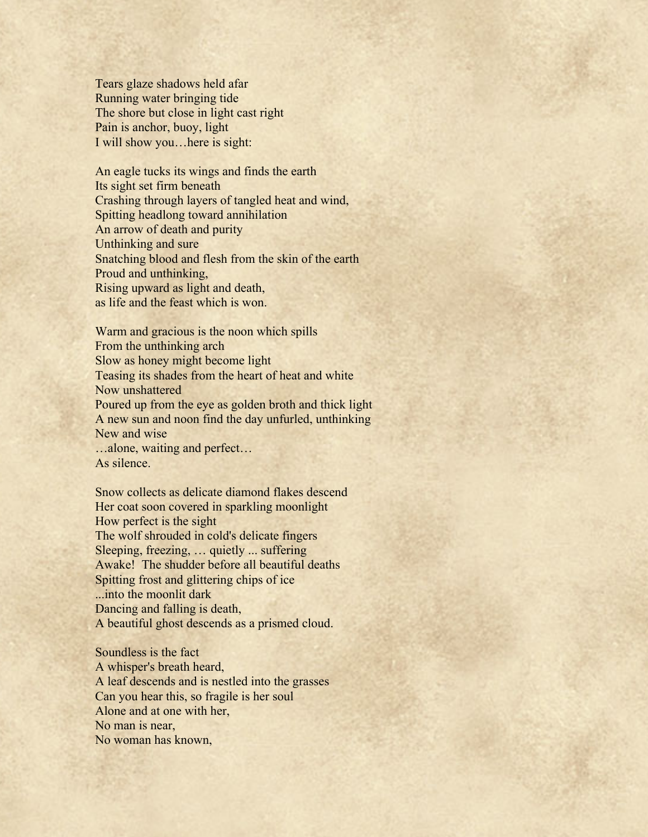Tears glaze shadows held afar Running water bringing tide The shore but close in light cast right Pain is anchor, buoy, light I will show you…here is sight:

An eagle tucks its wings and finds the earth Its sight set firm beneath Crashing through layers of tangled heat and wind, Spitting headlong toward annihilation An arrow of death and purity Unthinking and sure Snatching blood and flesh from the skin of the earth Proud and unthinking, Rising upward as light and death, as life and the feast which is won.

Warm and gracious is the noon which spills From the unthinking arch Slow as honey might become light Teasing its shades from the heart of heat and white Now unshattered Poured up from the eye as golden broth and thick light A new sun and noon find the day unfurled, unthinking New and wise …alone, waiting and perfect…

As silence.

Snow collects as delicate diamond flakes descend Her coat soon covered in sparkling moonlight How perfect is the sight The wolf shrouded in cold's delicate fingers Sleeping, freezing, … quietly ... suffering Awake! The shudder before all beautiful deaths Spitting frost and glittering chips of ice ...into the moonlit dark Dancing and falling is death, A beautiful ghost descends as a prismed cloud.

Soundless is the fact A whisper's breath heard, A leaf descends and is nestled into the grasses Can you hear this, so fragile is her soul Alone and at one with her, No man is near, No woman has known,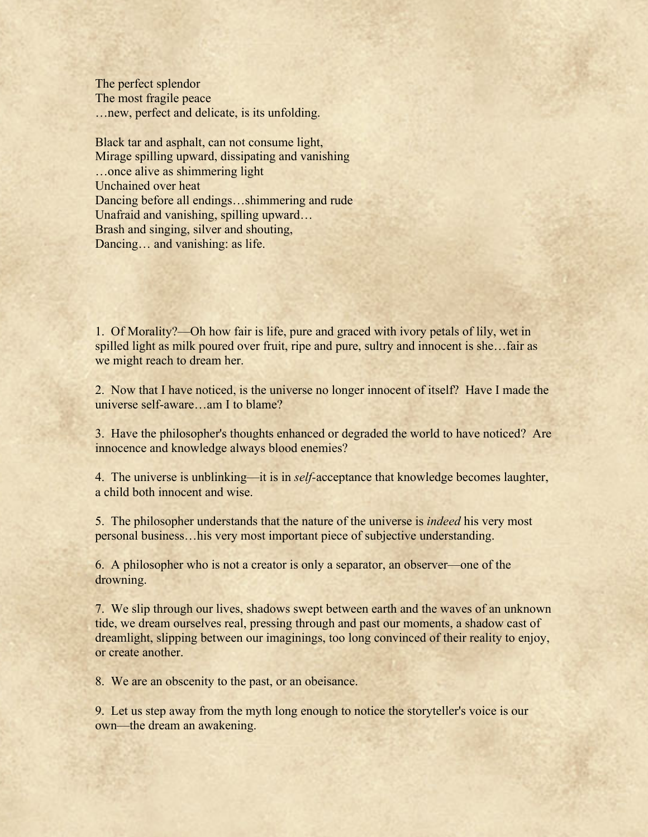The perfect splendor The most fragile peace …new, perfect and delicate, is its unfolding.

Black tar and asphalt, can not consume light, Mirage spilling upward, dissipating and vanishing …once alive as shimmering light Unchained over heat Dancing before all endings…shimmering and rude Unafraid and vanishing, spilling upward… Brash and singing, silver and shouting, Dancing… and vanishing: as life.

1. Of Morality?––Oh how fair is life, pure and graced with ivory petals of lily, wet in spilled light as milk poured over fruit, ripe and pure, sultry and innocent is she…fair as we might reach to dream her.

2. Now that I have noticed, is the universe no longer innocent of itself? Have I made the universe self-aware…am I to blame?

3. Have the philosopher's thoughts enhanced or degraded the world to have noticed? Are innocence and knowledge always blood enemies?

4. The universe is unblinking––it is in *self-*acceptance that knowledge becomes laughter, a child both innocent and wise.

5. The philosopher understands that the nature of the universe is *indeed* his very most personal business…his very most important piece of subjective understanding.

6. A philosopher who is not a creator is only a separator, an observer––one of the drowning.

7. We slip through our lives, shadows swept between earth and the waves of an unknown tide, we dream ourselves real, pressing through and past our moments, a shadow cast of dreamlight, slipping between our imaginings, too long convinced of their reality to enjoy, or create another.

8. We are an obscenity to the past, or an obeisance.

9. Let us step away from the myth long enough to notice the storyteller's voice is our own––the dream an awakening.